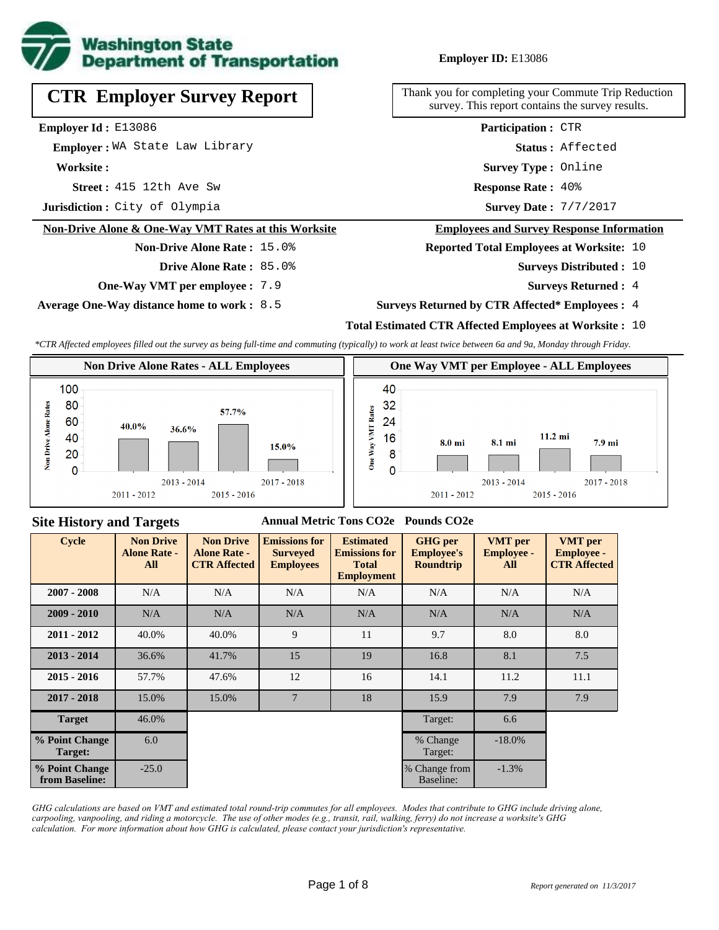

# **CTR Employer Survey Report**

**Employer Id :** E13086

 **Employer :** WA State Law Library

**Worksite :**

**Street :** 415 12th Ave Sw **Response Rate :** 

**Jurisdiction :** City of Olympia

#### **Non-Drive Alone & One-Way VMT Rates at this Worksite**

# **Non-Drive Alone Rate :** 15.0%

**Drive Alone Rate :** 85.0%

**One-Way VMT per employee :** 7.9

**Average One-Way distance home to work :** 8.5

#### **Employer ID:** E13086

Thank you for completing your Commute Trip Reduction survey. This report contains the survey results.

> **Status :** Affected **Participation :** CTR

**Survey Type :** Online

Response Rate: 40%

Survey Date: 7/7/2017

#### **Employees and Survey Response Information**

**Reported Total Employees at Worksite:** 10

- Surveys Distributed : 10
	- **Surveys Returned :** 4
- **Surveys Returned by CTR Affected\* Employees :** 4

#### **Total Estimated CTR Affected Employees at Worksite :** 10

*\*CTR Affected employees filled out the survey as being full-time and commuting (typically) to work at least twice between 6a and 9a, Monday through Friday.*



#### **Site History and Targets**

#### **Annual Metric Tons CO2e Pounds CO2e**

| <b>Cycle</b>                     | <b>Non Drive</b><br><b>Alone Rate -</b><br>All | <b>Non Drive</b><br><b>Alone Rate -</b><br><b>CTR Affected</b> | <b>Emissions for</b><br><b>Surveyed</b><br><b>Employees</b> | <b>Estimated</b><br><b>Emissions for</b><br><b>Total</b><br><b>Employment</b> | <b>GHG</b> per<br><b>Employee's</b><br><b>Roundtrip</b> | <b>VMT</b> per<br><b>Employee -</b><br>All | <b>VMT</b> per<br><b>Employee -</b><br><b>CTR Affected</b> |
|----------------------------------|------------------------------------------------|----------------------------------------------------------------|-------------------------------------------------------------|-------------------------------------------------------------------------------|---------------------------------------------------------|--------------------------------------------|------------------------------------------------------------|
| $2007 - 2008$                    | N/A                                            | N/A                                                            | N/A                                                         | N/A                                                                           | N/A                                                     | N/A                                        | N/A                                                        |
| $2009 - 2010$                    | N/A                                            | N/A                                                            | N/A                                                         | N/A                                                                           | N/A                                                     | N/A                                        | N/A                                                        |
| $2011 - 2012$                    | 40.0%                                          | 40.0%                                                          | 9                                                           | 11                                                                            | 9.7                                                     | 8.0                                        | 8.0                                                        |
| $2013 - 2014$                    | 36.6%                                          | 41.7%                                                          | 15                                                          | 19                                                                            | 16.8                                                    | 8.1                                        | 7.5                                                        |
| $2015 - 2016$                    | 57.7%                                          | 47.6%                                                          | 12                                                          | 16                                                                            | 14.1                                                    | 11.2                                       | 11.1                                                       |
| $2017 - 2018$                    | 15.0%                                          | 15.0%                                                          | $7\phantom{.0}$                                             | 18                                                                            | 15.9                                                    | 7.9                                        | 7.9                                                        |
| <b>Target</b>                    | 46.0%                                          |                                                                |                                                             |                                                                               | Target:                                                 | 6.6                                        |                                                            |
| % Point Change<br>Target:        | 6.0                                            |                                                                |                                                             |                                                                               | % Change<br>Target:                                     | $-18.0\%$                                  |                                                            |
| % Point Change<br>from Baseline: | $-25.0$                                        |                                                                |                                                             |                                                                               | % Change from<br>Baseline:                              | $-1.3%$                                    |                                                            |

*GHG calculations are based on VMT and estimated total round-trip commutes for all employees. Modes that contribute to GHG include driving alone, carpooling, vanpooling, and riding a motorcycle. The use of other modes (e.g., transit, rail, walking, ferry) do not increase a worksite's GHG calculation. For more information about how GHG is calculated, please contact your jurisdiction's representative.*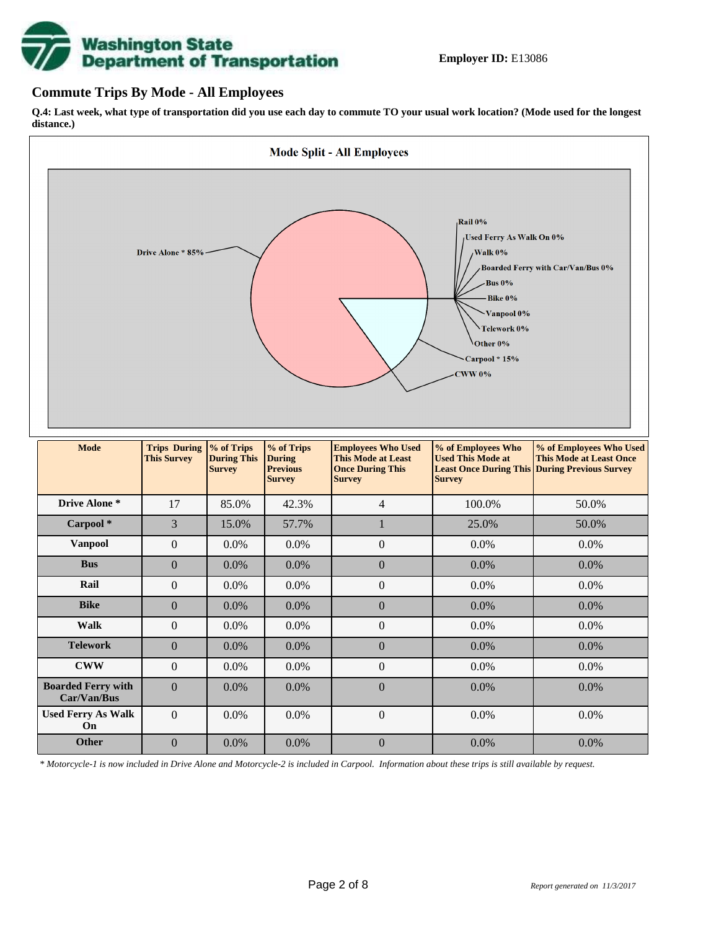# **Washington State<br>Department of Transportation**

## **Commute Trips By Mode - All Employees**

**Q.4: Last week, what type of transportation did you use each day to commute TO your usual work location? (Mode used for the longest distance.)**



*\* Motorcycle-1 is now included in Drive Alone and Motorcycle-2 is included in Carpool. Information about these trips is still available by request.*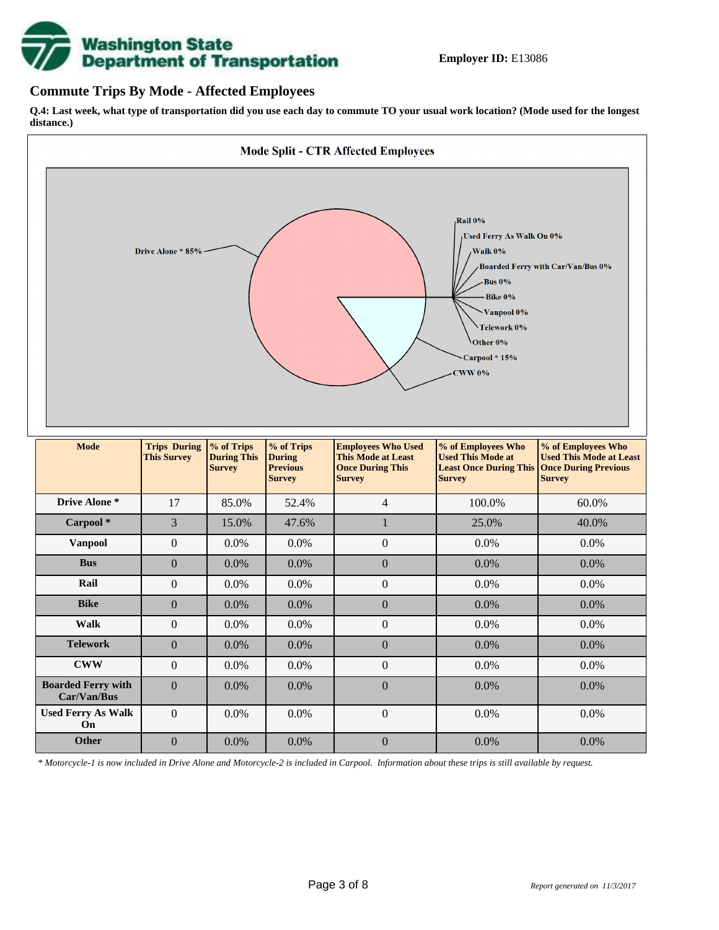

### **Commute Trips By Mode - Affected Employees**

**Q.4: Last week, what type of transportation did you use each day to commute TO your usual work location? (Mode used for the longest distance.)**



*\* Motorcycle-1 is now included in Drive Alone and Motorcycle-2 is included in Carpool. Information about these trips is still available by request.*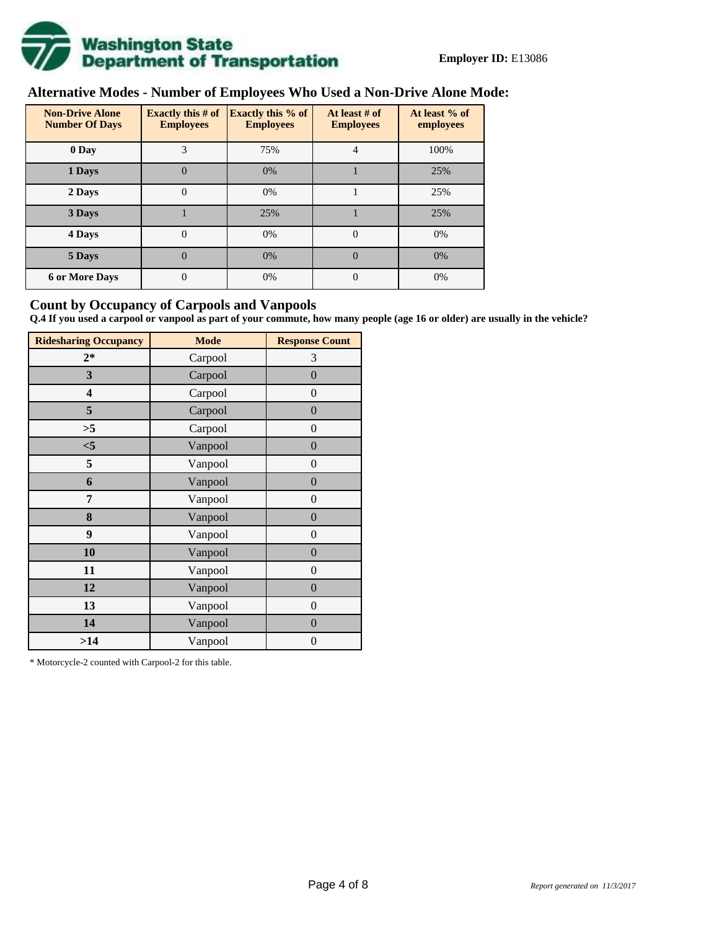

# **Alternative Modes - Number of Employees Who Used a Non-Drive Alone Mode:**

| <b>Non-Drive Alone</b><br><b>Number Of Days</b> | <b>Exactly this # of</b><br><b>Employees</b> | <b>Exactly this % of</b><br><b>Employees</b> | At least # of<br><b>Employees</b> | At least % of<br>employees |  |
|-------------------------------------------------|----------------------------------------------|----------------------------------------------|-----------------------------------|----------------------------|--|
| 0 Day                                           | 3                                            | 75%                                          | 4                                 | 100%                       |  |
| 1 Days                                          | $\overline{0}$                               | 0%                                           |                                   | 25%                        |  |
| 2 Days                                          | $\overline{0}$                               | 0%                                           |                                   | 25%                        |  |
| 3 Days                                          |                                              | 25%                                          |                                   | 25%                        |  |
| 4 Days                                          | $\theta$                                     | 0%                                           | $\Omega$                          | 0%                         |  |
| 5 Days                                          | 0                                            | 0%                                           | $\theta$                          | 0%                         |  |
| <b>6 or More Days</b>                           | $\theta$                                     | 0%                                           | $\Omega$                          | 0%                         |  |

## **Count by Occupancy of Carpools and Vanpools**

**Q.4 If you used a carpool or vanpool as part of your commute, how many people (age 16 or older) are usually in the vehicle?**

| <b>Ridesharing Occupancy</b> | <b>Mode</b> | <b>Response Count</b> |
|------------------------------|-------------|-----------------------|
| $2*$                         | Carpool     | 3                     |
| 3                            | Carpool     | $\overline{0}$        |
| 4                            | Carpool     | $\boldsymbol{0}$      |
| 5                            | Carpool     | $\boldsymbol{0}$      |
| >5                           | Carpool     | $\boldsymbol{0}$      |
| $<$ 5                        | Vanpool     | $\overline{0}$        |
| 5                            | Vanpool     | $\overline{0}$        |
| 6                            | Vanpool     | $\boldsymbol{0}$      |
| 7                            | Vanpool     | $\boldsymbol{0}$      |
| 8                            | Vanpool     | $\overline{0}$        |
| 9                            | Vanpool     | $\overline{0}$        |
| 10                           | Vanpool     | $\overline{0}$        |
| 11                           | Vanpool     | $\boldsymbol{0}$      |
| 12                           | Vanpool     | $\boldsymbol{0}$      |
| 13                           | Vanpool     | $\boldsymbol{0}$      |
| 14                           | Vanpool     | $\overline{0}$        |
| >14                          | Vanpool     | $\boldsymbol{0}$      |

\* Motorcycle-2 counted with Carpool-2 for this table.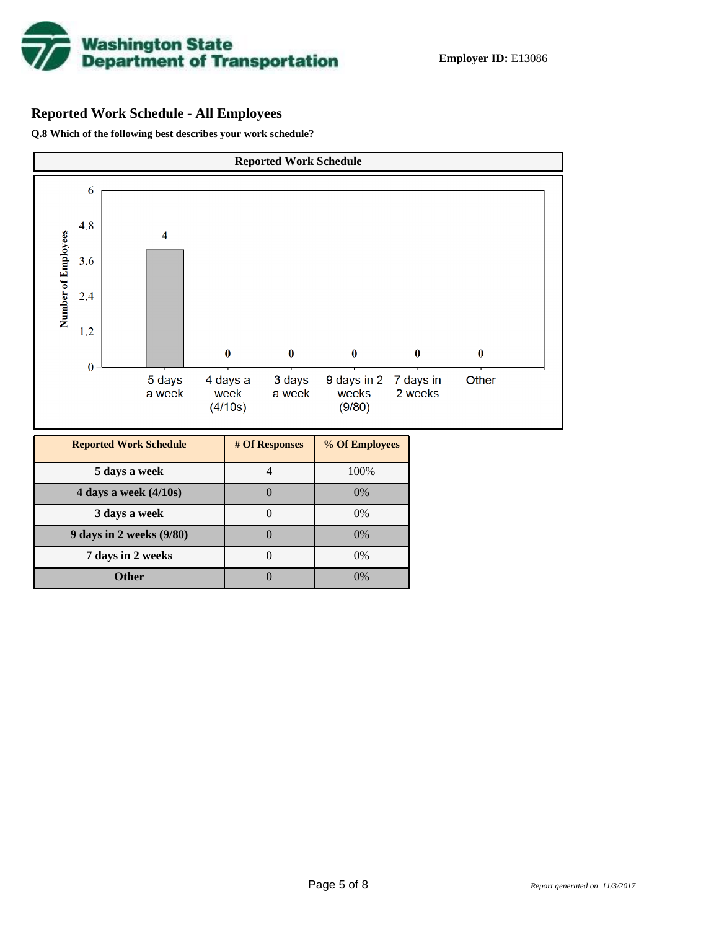

# **Reported Work Schedule - All Employees**

**Q.8 Which of the following best describes your work schedule?**

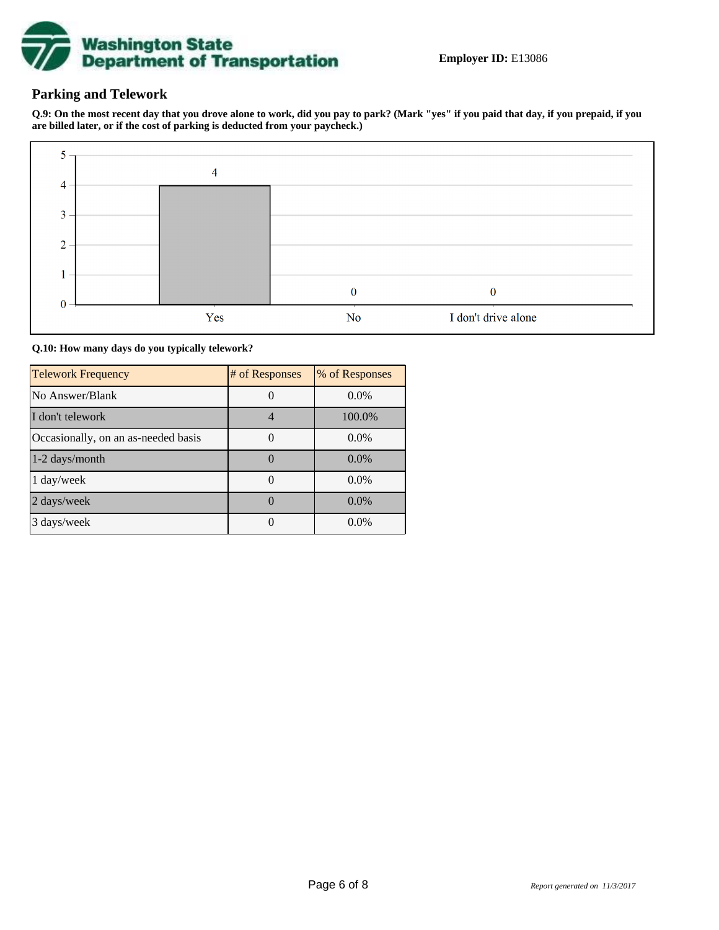

# **Parking and Telework**

**Q.9: On the most recent day that you drove alone to work, did you pay to park? (Mark "yes" if you paid that day, if you prepaid, if you are billed later, or if the cost of parking is deducted from your paycheck.)**



**Q.10: How many days do you typically telework?**

| <b>Telework Frequency</b>           | # of Responses | % of Responses |
|-------------------------------------|----------------|----------------|
| No Answer/Blank                     |                | $0.0\%$        |
| I don't telework                    |                | 100.0%         |
| Occasionally, on an as-needed basis |                | $0.0\%$        |
| 1-2 days/month                      |                | $0.0\%$        |
| 1 day/week                          |                | $0.0\%$        |
| 2 days/week                         |                | 0.0%           |
| 3 days/week                         |                | $0.0\%$        |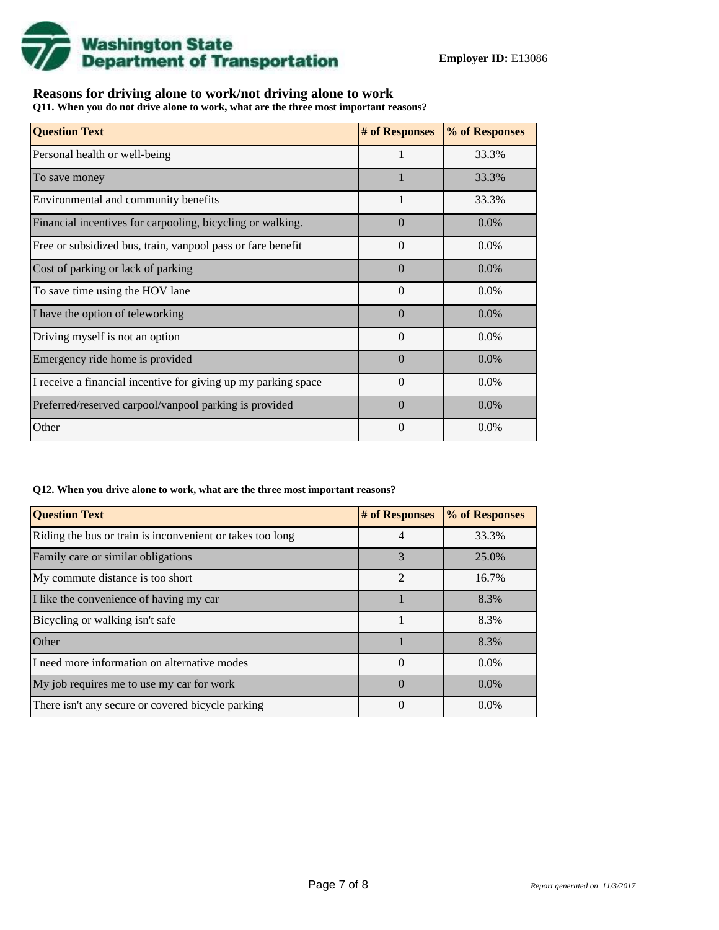

# **Reasons for driving alone to work/not driving alone to work**

**Q11. When you do not drive alone to work, what are the three most important reasons?**

| <b>Question Text</b>                                           | # of Responses | % of Responses |
|----------------------------------------------------------------|----------------|----------------|
| Personal health or well-being                                  |                | 33.3%          |
| To save money                                                  |                | 33.3%          |
| Environmental and community benefits                           | $\mathbf{1}$   | 33.3%          |
| Financial incentives for carpooling, bicycling or walking.     | $\Omega$       | $0.0\%$        |
| Free or subsidized bus, train, vanpool pass or fare benefit    | $\Omega$       | $0.0\%$        |
| Cost of parking or lack of parking                             | $\Omega$       | 0.0%           |
| To save time using the HOV lane                                | $\Omega$       | 0.0%           |
| I have the option of teleworking                               | $\Omega$       | $0.0\%$        |
| Driving myself is not an option                                | $\Omega$       | 0.0%           |
| Emergency ride home is provided                                | $\Omega$       | 0.0%           |
| I receive a financial incentive for giving up my parking space | $\theta$       | $0.0\%$        |
| Preferred/reserved carpool/vanpool parking is provided         | $\Omega$       | 0.0%           |
| Other                                                          | $\theta$       | 0.0%           |

#### **Q12. When you drive alone to work, what are the three most important reasons?**

| <b>Question Text</b>                                      | # of Responses | % of Responses |
|-----------------------------------------------------------|----------------|----------------|
| Riding the bus or train is inconvenient or takes too long | 4              | 33.3%          |
| Family care or similar obligations                        | 3              | 25.0%          |
| My commute distance is too short                          | $\mathfrak{D}$ | 16.7%          |
| I like the convenience of having my car                   |                | 8.3%           |
| Bicycling or walking isn't safe                           |                | 8.3%           |
| Other                                                     |                | 8.3%           |
| I need more information on alternative modes              | $\Omega$       | $0.0\%$        |
| My job requires me to use my car for work                 | $\Omega$       | $0.0\%$        |
| There isn't any secure or covered bicycle parking         | 0              | $0.0\%$        |